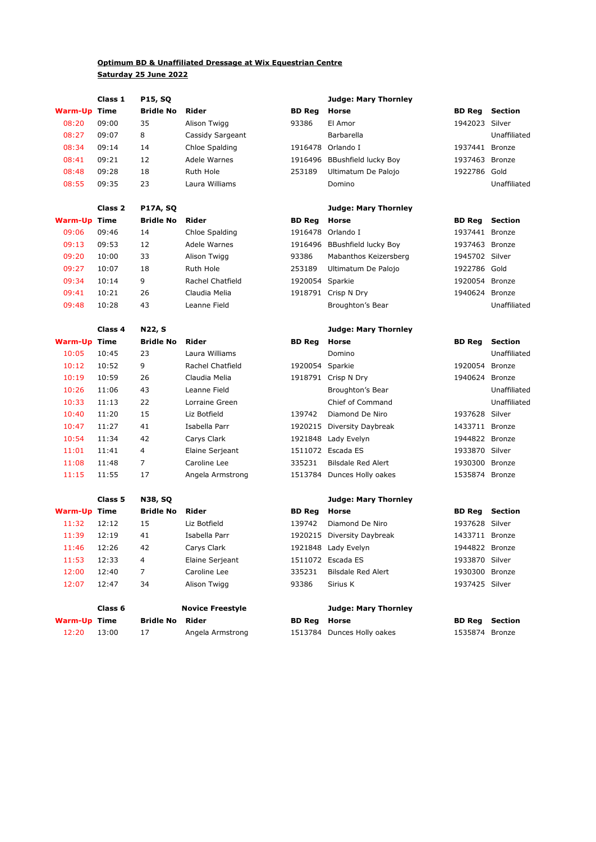## **Optimum BD & Unaffiliated Dressage at Wix Equestrian Centre Saturday 25 June 2022**

|                     | Class 1            | <b>P15, SQ</b>   |                  |                 | <b>Judge: Mary Thornley</b>  |                |                |
|---------------------|--------------------|------------------|------------------|-----------------|------------------------------|----------------|----------------|
| <b>Warm-Up Time</b> |                    | <b>Bridle No</b> | Rider            | <b>BD Reg</b>   | <b>Horse</b>                 | <b>BD Reg</b>  | <b>Section</b> |
| 08:20               | 09:00              | 35               | Alison Twigg     | 93386           | El Amor                      | 1942023 Silver |                |
| 08:27               | 09:07              | 8                | Cassidy Sargeant |                 | Barbarella                   |                | Unaffiliated   |
| 08:34               | 09:14              | 14               | Chloe Spalding   |                 | 1916478 Orlando I            | 1937441 Bronze |                |
| 08:41               | 09:21              | 12               | Adele Warnes     |                 | 1916496 BBushfield lucky Boy | 1937463 Bronze |                |
| 08:48               | 09:28              | 18               | Ruth Hole        | 253189          | Ultimatum De Palojo          | 1922786 Gold   |                |
| 08:55               | 09:35              | 23               | Laura Williams   |                 | Domino                       |                | Unaffiliated   |
|                     | Class <sub>2</sub> | <b>P17A, SQ</b>  |                  |                 | <b>Judge: Mary Thornley</b>  |                |                |
| <b>Warm-Up Time</b> |                    | <b>Bridle No</b> | Rider            | <b>BD Reg</b>   | <b>Horse</b>                 | <b>BD Reg</b>  | <b>Section</b> |
| 09:06               | 09:46              | 14               | Chloe Spalding   |                 | 1916478 Orlando I            | 1937441 Bronze |                |
| 09:13               | 09:53              | 12               | Adele Warnes     |                 | 1916496 BBushfield lucky Boy | 1937463 Bronze |                |
| 09:20               | 10:00              | 33               | Alison Twigg     | 93386           | Mabanthos Keizersberg        | 1945702 Silver |                |
| 09:27               | 10:07              | 18               | <b>Ruth Hole</b> | 253189          | Ultimatum De Palojo          | 1922786 Gold   |                |
| 09:34               | 10:14              | 9                | Rachel Chatfield | 1920054 Sparkie |                              | 1920054 Bronze |                |
| 09:41               | 10:21              | 26               | Claudia Melia    |                 | 1918791 Crisp N Dry          | 1940624 Bronze |                |
| 09:48               | 10:28              | 43               | Leanne Field     |                 | Broughton's Bear             |                | Unaffiliated   |
|                     | Class 4            | N22, S           |                  |                 | <b>Judge: Mary Thornley</b>  |                |                |
| <b>Warm-Up Time</b> |                    | <b>Bridle No</b> | Rider            | <b>BD</b> Reg   | Horse                        | <b>BD Reg</b>  | <b>Section</b> |
| 10:05               | 10:45              | 23               | Laura Williams   |                 | Domino                       |                | Unaffiliated   |
| 10:12               | 10:52              | 9                | Rachel Chatfield | 1920054 Sparkie |                              | 1920054 Bronze |                |
| 10:19               | 10:59              | 26               | Claudia Melia    |                 | 1918791 Crisp N Dry          | 1940624 Bronze |                |
| 10:26               | 11:06              | 43               | Leanne Field     |                 | Broughton's Bear             |                | Unaffiliated   |
| 10:33               | 11:13              | 22               | Lorraine Green   |                 | Chief of Command             |                | Unaffiliated   |
| 10:40               | 11:20              | 15               | Liz Botfield     | 139742          | Diamond De Niro              | 1937628 Silver |                |
| 10:47               | 11:27              | 41               | Isabella Parr    |                 | 1920215 Diversity Daybreak   | 1433711 Bronze |                |
| 10:54               | 11:34              | 42               | Carys Clark      |                 | 1921848 Lady Evelyn          | 1944822 Bronze |                |
| 11:01               | 11:41              | 4                | Elaine Serjeant  |                 | 1511072 Escada ES            | 1933870 Silver |                |
| 11:08               | 11:48              | 7                | Caroline Lee     | 335231          | <b>Bilsdale Red Alert</b>    | 1930300 Bronze |                |
| 11:15               | 11:55              | 17               | Angela Armstrong |                 | 1513784 Dunces Holly oakes   | 1535874 Bronze |                |
|                     | Class <sub>5</sub> | <b>N38, SQ</b>   |                  |                 | <b>Judge: Mary Thornley</b>  |                |                |
| <b>Warm-Up Time</b> |                    | <b>Bridle No</b> | Rider            | <b>BD Reg</b>   | <b>Horse</b>                 | <b>BD Reg</b>  | <b>Section</b> |
| 11:32               | 12:12              | 15               | Liz Botfield     | 139742          | Diamond De Niro              | 1937628 Silver |                |
| 11:39               | 12:19              | 41               | Isabella Parr    |                 | 1920215 Diversity Daybreak   | 1433711 Bronze |                |
| 11:46               | 12:26              | 42               | Carys Clark      |                 | 1921848 Lady Evelyn          | 1944822 Bronze |                |
| 11:53               | 12:33              | 4                | Elaine Serjeant  |                 | 1511072 Escada ES            | 1933870 Silver |                |
| 12:00               | 12:40              | $\overline{7}$   | Caroline Lee     | 335231          | <b>Bilsdale Red Alert</b>    | 1930300 Bronze |                |
| 12:07               | 12:47              | 34               | Alison Twigg     | 93386           | Sirius K                     | 1937425 Silver |                |

|                     | Class 6 | <b>Novice Freestyle</b> |                  |  |  |
|---------------------|---------|-------------------------|------------------|--|--|
| <b>Warm-Up Time</b> |         | <b>Bridle No Rider</b>  |                  |  |  |
| 12:20               | 13:00   | 17                      | Angela Armstrong |  |  |

**Class 6 Judge: Mary Thornley**

| Warm-Up Time | <b>Bridle No Rider</b> |                  | <b>BD Reg</b> Horse |                            | <b>BD Reg</b> Section |  |
|--------------|------------------------|------------------|---------------------|----------------------------|-----------------------|--|
| 12:20 13:00  |                        | Angela Armstrong |                     | 1513784 Dunces Holly oakes | 1535874 Bronze        |  |